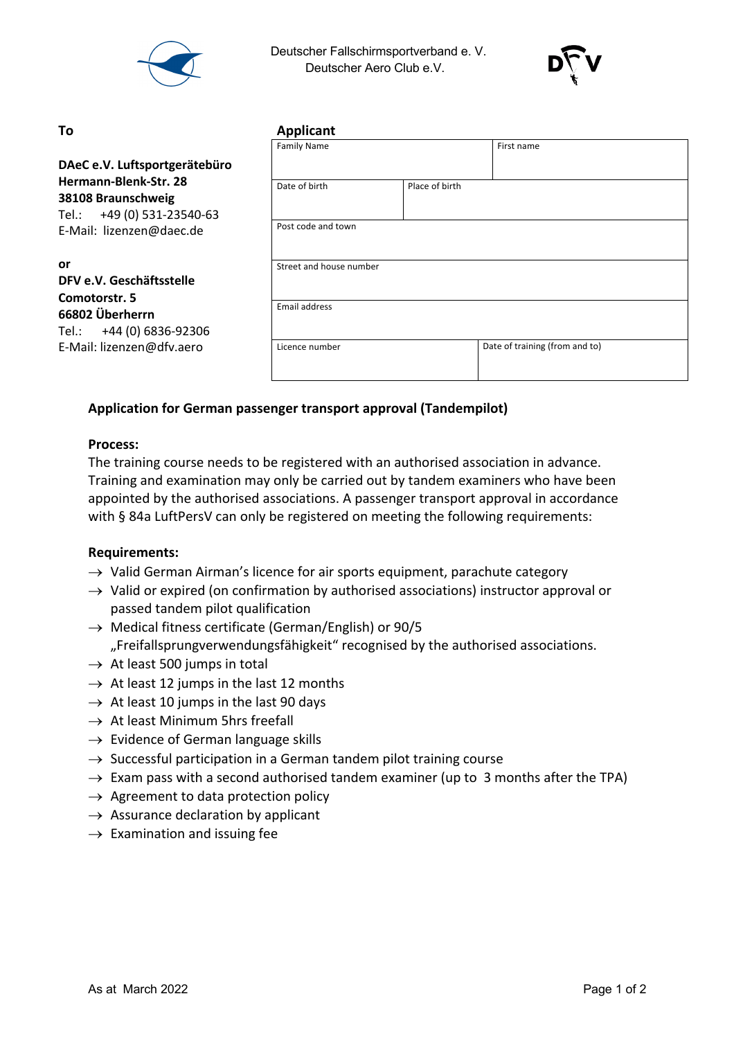

 Deutscher Fallschirmsportverband e. V. Deutscher Aero Club e.V.



# **or**

| To                                                                                                       | <b>Applicant</b>        |                |                                |  |  |
|----------------------------------------------------------------------------------------------------------|-------------------------|----------------|--------------------------------|--|--|
|                                                                                                          | <b>Family Name</b>      |                | First name                     |  |  |
| DAeC e.V. Luftsportgerätebüro                                                                            |                         |                |                                |  |  |
| Hermann-Blenk-Str. 28<br>38108 Braunschweig<br>+49 (0) 531-23540-63<br>Tel.:<br>E-Mail: lizenzen@daec.de | Date of birth           | Place of birth |                                |  |  |
|                                                                                                          | Post code and town      |                |                                |  |  |
| or<br>DFV e.V. Geschäftsstelle<br>Comotorstr. 5                                                          | Street and house number |                |                                |  |  |
| 66802 Überherrn<br>Tel.: +44 (0) 6836-92306<br>E-Mail: lizenzen@dfv.aero                                 | Email address           |                |                                |  |  |
|                                                                                                          | Licence number          |                | Date of training (from and to) |  |  |

## **Application for German passenger transport approval (Tandempilot)**

#### **Process:**

The training course needs to be registered with an authorised association in advance. Training and examination may only be carried out by tandem examiners who have been appointed by the authorised associations. A passenger transport approval in accordance with § 84a LuftPersV can only be registered on meeting the following requirements:

#### **Requirements:**

- $\rightarrow$  Valid German Airman's licence for air sports equipment, parachute category
- $\rightarrow$  Valid or expired (on confirmation by authorised associations) instructor approval or passed tandem pilot qualification
- $\rightarrow$  Medical fitness certificate (German/English) or 90/5 "Freifallsprungverwendungsfähigkeit" recognised by the authorised associations.
- $\rightarrow$  At least 500 jumps in total
- $\rightarrow$  At least 12 jumps in the last 12 months
- $\rightarrow$  At least 10 jumps in the last 90 days
- $\rightarrow$  At least Minimum 5hrs freefall
- $\rightarrow$  Evidence of German language skills
- $\rightarrow$  Successful participation in a German tandem pilot training course
- $\rightarrow$  Exam pass with a second authorised tandem examiner (up to 3 months after the TPA)
- $\rightarrow$  Agreement to data protection policy
- $\rightarrow$  Assurance declaration by applicant
- $\rightarrow$  Examination and issuing fee